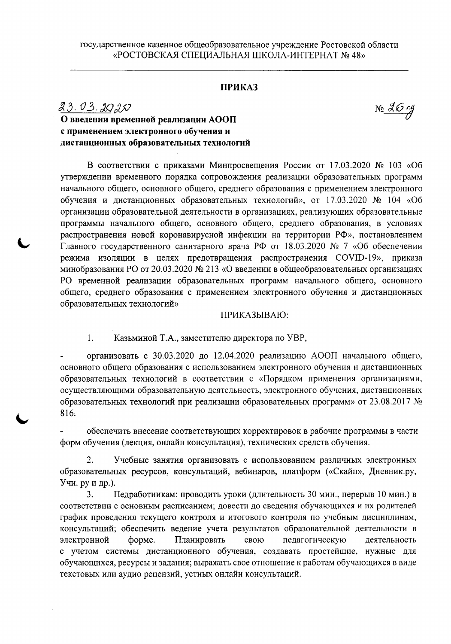## **ПРИКАЗ**

 $23.03.2020$ 

 $N<sub>2</sub>$  26  $r<sub>1</sub>$ 

## О введении временной реализации АООП с применением электронного обучения и дистанционных образовательных технологий

В соответствии с приказами Минпросвещения России от 17.03.2020 № 103 «Об утверждении временного порядка сопровождения реализации образовательных программ начального общего, основного общего, среднего образования с применением электронного обучения и дистанционных образовательных технологий», от 17.03.2020 № 104 «Об организации образовательной деятельности в организациях, реализующих образовательные программы начального общего, основного общего, среднего образования, в условиях распространения новой коронавирусной инфекции на территории РФ», постановлением Главного государственного санитарного врача РФ от 18.03.2020 № 7 «Об обеспечении режима изоляции в целях предотвращения распространения COVID-19», приказа минобразования PO от 20.03.2020 № 213 «О введении в общеобразовательных организациях РО временной реализации образовательных программ начального общего, основного общего, среднего образования с применением электронного обучения и дистанционных образовательных технологий»

## ПРИКАЗЫВАЮ:

 $1.$ Казьминой Т.А., заместителю директора по УВР,

организовать с 30.03.2020 до 12.04.2020 реализацию АООП начального общего, основного общего образования с использованием электронного обучения и дистанционных образовательных технологий в соответствии с «Порядком применения организациями, осуществляющими образовательную деятельность, электронного обучения, дистанционных образовательных технологий при реализации образовательных программ» от 23.08.2017 № 816.

обеспечить внесение соответствующих корректировок в рабочие программы в части форм обучения (лекция, онлайн консультация), технических средств обучения.

 $2.$ Учебные занятия организовать с использованием различных электронных образовательных ресурсов, консультаций, вебинаров, платформ («Скайп», Дневник.ру, Учи. ру и др.).

 $3<sub>1</sub>$ Педработникам: проводить уроки (длительность 30 мин., перерыв 10 мин.) в соответствии с основным расписанием; довести до сведения обучающихся и их родителей график проведения текущего контроля и итогового контроля по учебным дисциплинам, консультаций; обеспечить ведение учета результатов образовательной деятельности в электронной форме. Планировать свою педагогическую деятельность с учетом системы дистанционного обучения, создавать простейшие, нужные для обучающихся, ресурсы и задания; выражать свое отношение к работам обучающихся в виде текстовых или аудио рецензий, устных онлайн консультаций.